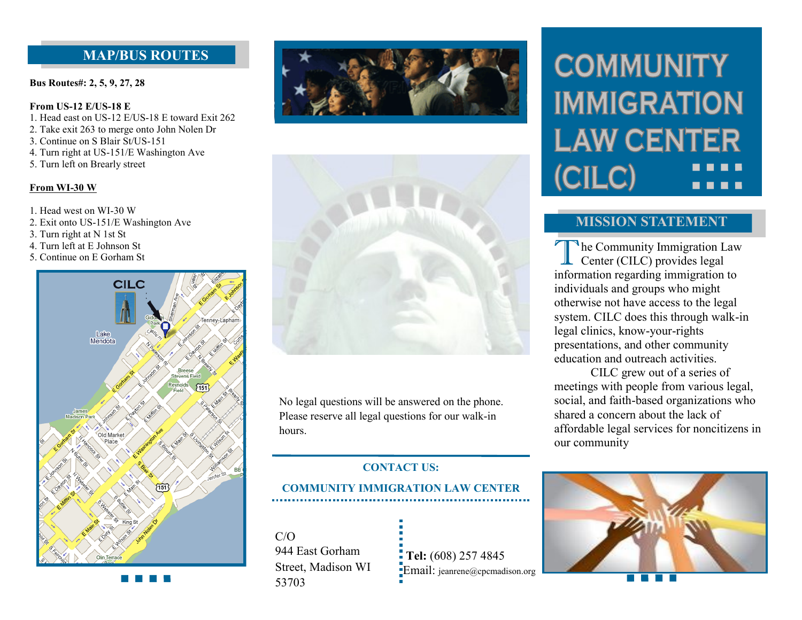# **MAP/BUS ROUTES**

**Bus Routes#: 2, 5, 9, 27, 28** 

#### **From US-12 E/US-18 E**

- 1. Head east on US-12 E/US-18 E toward Exit 262
- 2. Take exit 263 to merge onto John Nolen Dr
- 3. Continue on S Blair St/US-151
- 4. Turn right at US-151/E Washington Ave
- 5. Turn left on Brearly street

#### **From WI-30 W**

- 1. Head west on WI-30 W
- 2. Exit onto US-151/E Washington Ave
- 3. Turn right at N 1st St
- 4. Turn left at E Johnson St
- 5. Continue on E Gorham St







No legal questions will be answered on the phone. Please reserve all legal questions for our walk-in hours.

### **CONTACT US:**

# **COMMUNITY IMMIGRATION LAW CENTER**

 $C/O$ 944 East Gorham Street, Madison WI 53703

 **Tel:** (608) 257 4845 **Email:** jeanrene@cpcmadison.org

# **COMMUNITY IMMIGRATION LAW CENTER** (CILC) . . . .

## **MISSION STATEMENT**

The Community Immigration Law<br>
Center (CILC) provides legal Center (CILC) provides legal information regarding immigration to individuals and groups who might otherwise not have access to the legal system. CILC does this through walk-in legal clinics, know-your-rights presentations, and other community education and outreach activities.

CILC grew out of a series of meetings with people from various legal, social, and faith-based organizations who shared a concern about the lack of affordable legal services for noncitizens in our community